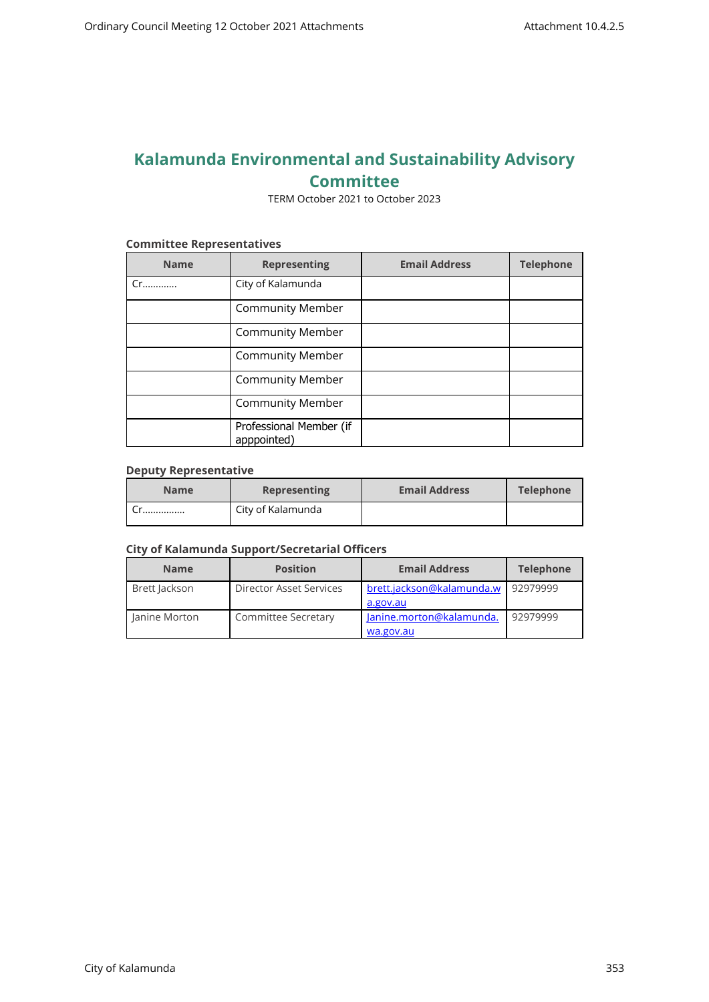# **Kalamunda Environmental and Sustainability Advisory Committee**

TERM October 2021 to October 2023

#### **Committee Representatives**

| <b>Name</b> | <b>Representing</b>                    | <b>Email Address</b> | <b>Telephone</b> |
|-------------|----------------------------------------|----------------------|------------------|
| Cr          | City of Kalamunda                      |                      |                  |
|             | <b>Community Member</b>                |                      |                  |
|             | <b>Community Member</b>                |                      |                  |
|             | <b>Community Member</b>                |                      |                  |
|             | <b>Community Member</b>                |                      |                  |
|             | <b>Community Member</b>                |                      |                  |
|             | Professional Member (if<br>apppointed) |                      |                  |

#### **Deputy Representative**

| <b>Name</b> | <b>Representing</b> | <b>Email Address</b> | <b>Telephone</b> |
|-------------|---------------------|----------------------|------------------|
|             | City of Kalamunda   |                      |                  |

#### **City of Kalamunda Support/Secretarial Officers**

| <b>Name</b>   | <b>Position</b>         | <b>Email Address</b>                  | <b>Telephone</b> |
|---------------|-------------------------|---------------------------------------|------------------|
| Brett Jackson | Director Asset Services | brett.jackson@kalamunda.w<br>a.gov.au | 92979999         |
| Janine Morton | Committee Secretary     | Janine.morton@kalamunda.<br>wa.gov.au | 92979999         |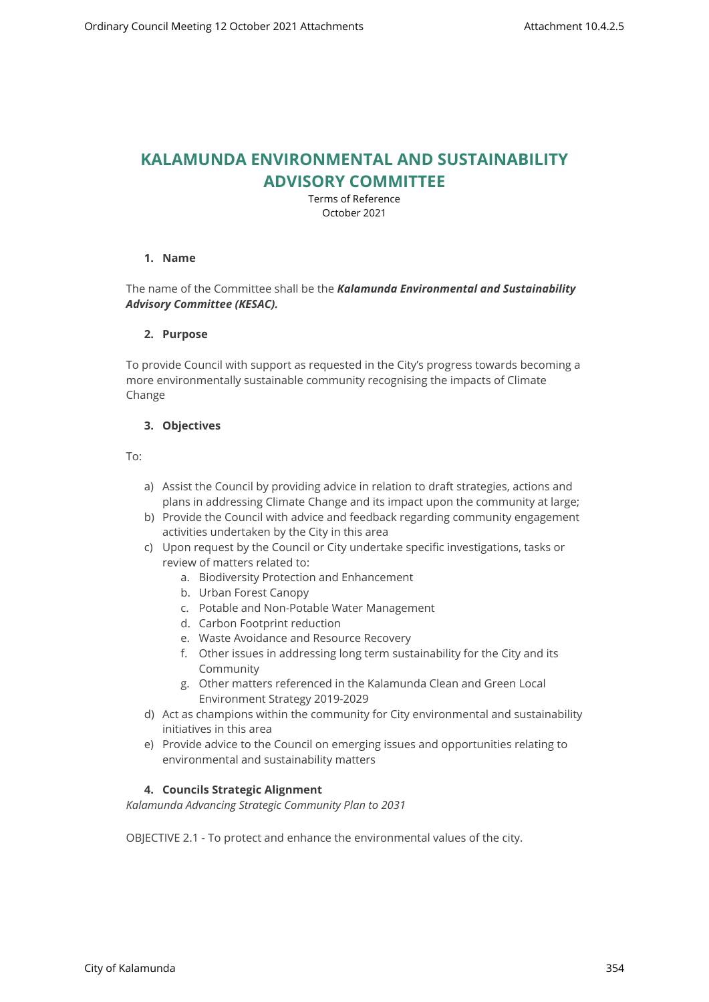## **KALAMUNDA ENVIRONMENTAL AND SUSTAINABILITY ADVISORY COMMITTEE**

Terms of Reference October 2021

### **1. Name**

## The name of the Committee shall be the *Kalamunda Environmental and Sustainability Advisory Committee (KESAC).*

### **2. Purpose**

To provide Council with support as requested in the City's progress towards becoming a more environmentally sustainable community recognising the impacts of Climate Change

## **3. Objectives**

To:

- a) Assist the Council by providing advice in relation to draft strategies, actions and plans in addressing Climate Change and its impact upon the community at large;
- b) Provide the Council with advice and feedback regarding community engagement activities undertaken by the City in this area
- c) Upon request by the Council or City undertake specific investigations, tasks or review of matters related to:
	- a. Biodiversity Protection and Enhancement
	- b. Urban Forest Canopy
	- c. Potable and Non-Potable Water Management
	- d. Carbon Footprint reduction
	- e. Waste Avoidance and Resource Recovery
	- f. Other issues in addressing long term sustainability for the City and its Community
	- g. Other matters referenced in the Kalamunda Clean and Green Local Environment Strategy 2019-2029
- d) Act as champions within the community for City environmental and sustainability initiatives in this area
- e) Provide advice to the Council on emerging issues and opportunities relating to environmental and sustainability matters

## **4. Councils Strategic Alignment**

*Kalamunda Advancing Strategic Community Plan to 2031* 

OBJECTIVE 2.1 - To protect and enhance the environmental values of the city.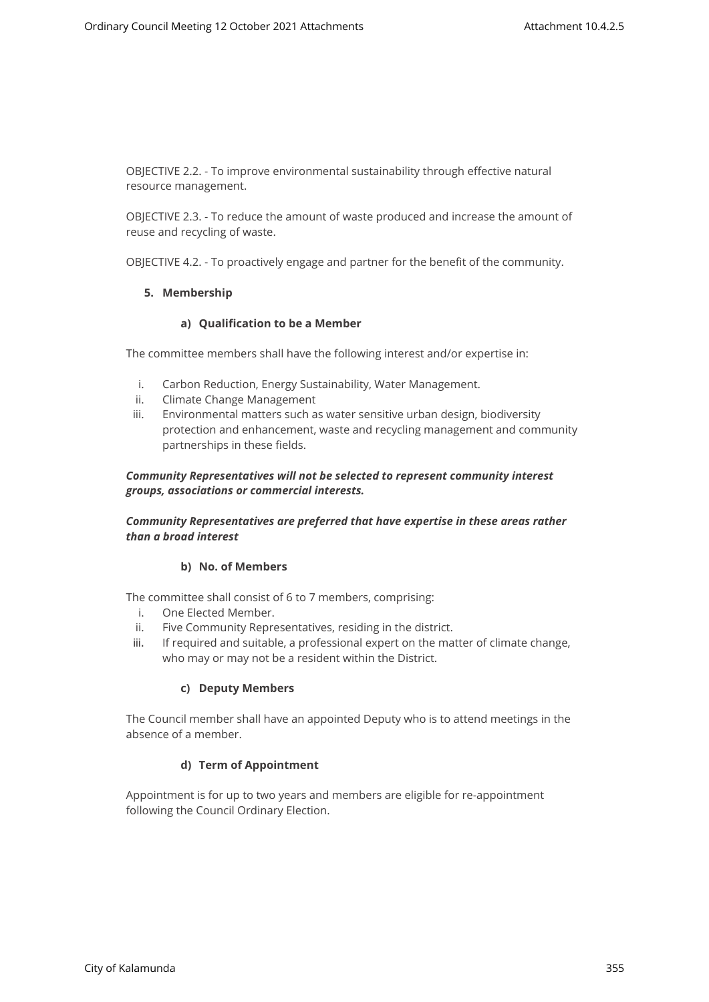OBJECTIVE 2.2. - To improve environmental sustainability through effective natural resource management.

OBJECTIVE 2.3. - To reduce the amount of waste produced and increase the amount of reuse and recycling of waste.

OBJECTIVE 4.2. - To proactively engage and partner for the benefit of the community.

#### **5. Membership**

#### **a) Qualification to be a Member**

The committee members shall have the following interest and/or expertise in:

- i. Carbon Reduction, Energy Sustainability, Water Management.
- ii. Climate Change Management
- iii. Environmental matters such as water sensitive urban design, biodiversity protection and enhancement, waste and recycling management and community partnerships in these fields.

### *Community Representatives will not be selected to represent community interest groups, associations or commercial interests.*

## *Community Representatives are preferred that have expertise in these areas rather than a broad interest*

### **b) No. of Members**

The committee shall consist of 6 to 7 members, comprising:

- i. One Elected Member.
- ii. Five Community Representatives, residing in the district.
- iii. If required and suitable, a professional expert on the matter of climate change, who may or may not be a resident within the District.

### **c) Deputy Members**

The Council member shall have an appointed Deputy who is to attend meetings in the absence of a member.

### **d) Term of Appointment**

Appointment is for up to two years and members are eligible for re-appointment following the Council Ordinary Election.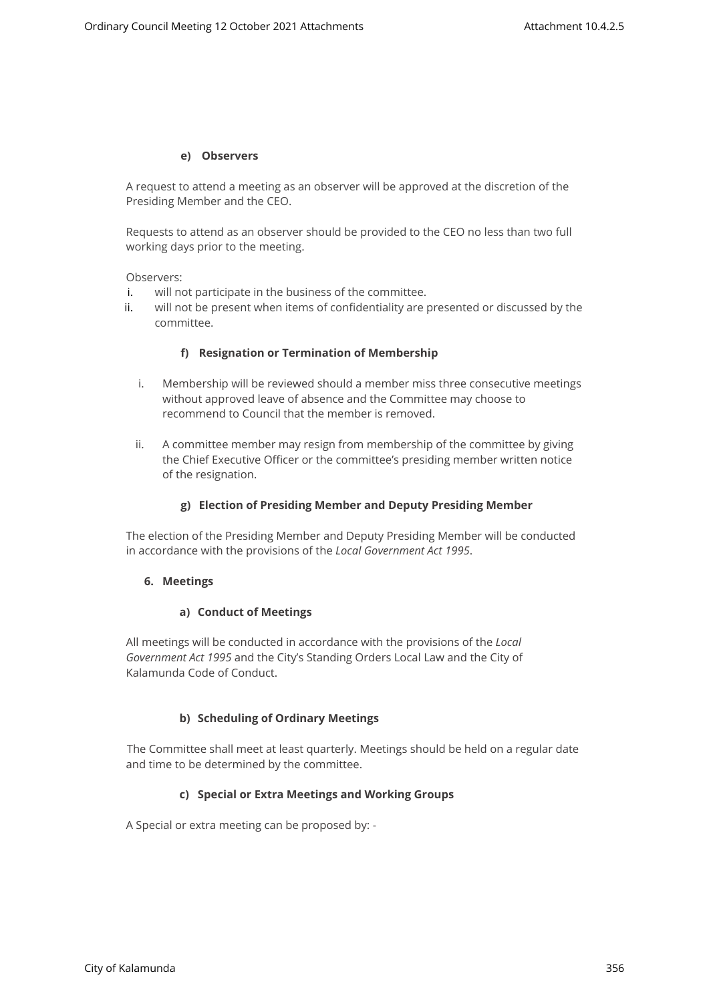#### **e) Observers**

A request to attend a meeting as an observer will be approved at the discretion of the Presiding Member and the CEO.

Requests to attend as an observer should be provided to the CEO no less than two full working days prior to the meeting.

Observers:

- i. will not participate in the business of the committee.
- ii. will not be present when items of confidentiality are presented or discussed by the committee.

### **f) Resignation or Termination of Membership**

- i. Membership will be reviewed should a member miss three consecutive meetings without approved leave of absence and the Committee may choose to recommend to Council that the member is removed.
- ii. A committee member may resign from membership of the committee by giving the Chief Executive Officer or the committee's presiding member written notice of the resignation.

#### **g) Election of Presiding Member and Deputy Presiding Member**

The election of the Presiding Member and Deputy Presiding Member will be conducted in accordance with the provisions of the *Local Government Act 1995*.

### **6. Meetings**

#### **a) Conduct of Meetings**

All meetings will be conducted in accordance with the provisions of the *Local Government Act 1995* and the City's Standing Orders Local Law and the City of Kalamunda Code of Conduct.

### **b) Scheduling of Ordinary Meetings**

The Committee shall meet at least quarterly. Meetings should be held on a regular date and time to be determined by the committee.

#### **c) Special or Extra Meetings and Working Groups**

A Special or extra meeting can be proposed by: -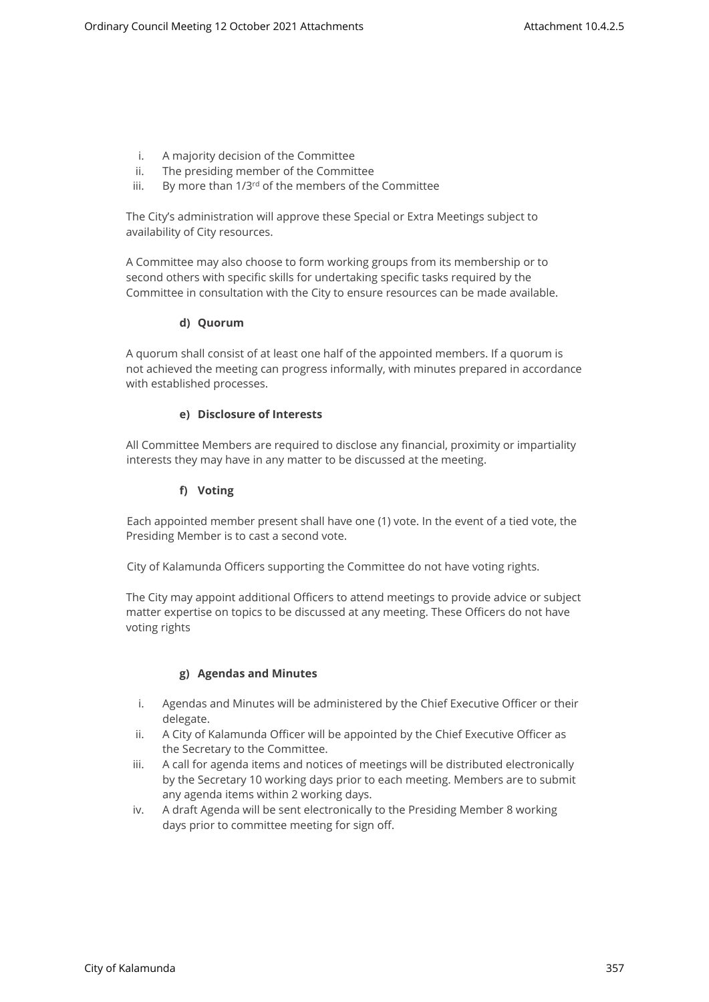- i. A majority decision of the Committee
- ii. The presiding member of the Committee
- iii. By more than 1/3<sup>rd</sup> of the members of the Committee

The City's administration will approve these Special or Extra Meetings subject to availability of City resources.

A Committee may also choose to form working groups from its membership or to second others with specific skills for undertaking specific tasks required by the Committee in consultation with the City to ensure resources can be made available.

## **d) Quorum**

A quorum shall consist of at least one half of the appointed members. If a quorum is not achieved the meeting can progress informally, with minutes prepared in accordance with established processes.

## **e) Disclosure of Interests**

All Committee Members are required to disclose any financial, proximity or impartiality interests they may have in any matter to be discussed at the meeting.

## **f) Voting**

Each appointed member present shall have one (1) vote. In the event of a tied vote, the Presiding Member is to cast a second vote.

City of Kalamunda Officers supporting the Committee do not have voting rights.

The City may appoint additional Officers to attend meetings to provide advice or subject matter expertise on topics to be discussed at any meeting. These Officers do not have voting rights

### **g) Agendas and Minutes**

- i. Agendas and Minutes will be administered by the Chief Executive Officer or their delegate.
- ii. A City of Kalamunda Officer will be appointed by the Chief Executive Officer as the Secretary to the Committee.
- iii. A call for agenda items and notices of meetings will be distributed electronically by the Secretary 10 working days prior to each meeting. Members are to submit any agenda items within 2 working days.
- iv. A draft Agenda will be sent electronically to the Presiding Member 8 working days prior to committee meeting for sign off.